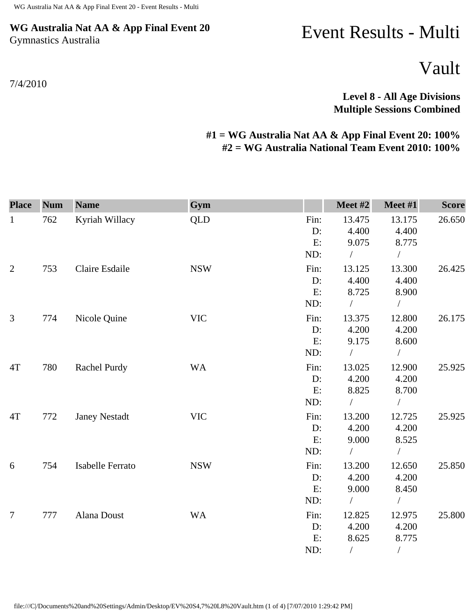## **WG Australia Nat AA & App Final Event 20** Gymnastics Australia

## Event Results - Multi

Vault

**Level 8 - All Age Divisions Multiple Sessions Combined** 

## **#1 = WG Australia Nat AA & App Final Event 20: 100% #2 = WG Australia National Team Event 2010: 100%**

| <b>Place</b>   | <b>Num</b> | <b>Name</b>          | Gym        |       | Meet #2       | Meet #1    | <b>Score</b> |
|----------------|------------|----------------------|------------|-------|---------------|------------|--------------|
| $\mathbf{1}$   | 762        | Kyriah Willacy       | <b>QLD</b> | Fin:  | 13.475        | 13.175     | 26.650       |
|                |            |                      |            | D:    | 4.400         | 4.400      |              |
|                |            |                      |            | E:    | 9.075         | 8.775      |              |
|                |            |                      |            | ND:   | $\sqrt{2}$    | $\sqrt{2}$ |              |
| $\overline{2}$ | 753        | Claire Esdaile       | <b>NSW</b> | Fin:  | 13.125        | 13.300     | 26.425       |
|                |            |                      |            | D:    | 4.400         | 4.400      |              |
|                |            |                      |            | E:    | 8.725         | 8.900      |              |
|                |            |                      |            | ND:   | $\sqrt{2}$    | $\sqrt{2}$ |              |
| 3              | 774        | Nicole Quine         | <b>VIC</b> | Fin:  | 13.375        | 12.800     | 26.175       |
|                |            |                      |            | $D$ : | 4.200         | 4.200      |              |
|                |            |                      |            | E:    | 9.175         | 8.600      |              |
|                |            |                      |            | ND:   | $\sqrt{2}$    | $\sqrt{2}$ |              |
| 4T             | 780        | <b>Rachel Purdy</b>  | <b>WA</b>  | Fin:  | 13.025        | 12.900     | 25.925       |
|                |            |                      |            | D:    | 4.200         | 4.200      |              |
|                |            |                      |            | E:    | 8.825         | 8.700      |              |
|                |            |                      |            | ND:   | $\sqrt{2}$    | $\sqrt{2}$ |              |
| 4T             | 772        | <b>Janey Nestadt</b> | <b>VIC</b> | Fin:  | 13.200        | 12.725     | 25.925       |
|                |            |                      |            | D:    | 4.200         | 4.200      |              |
|                |            |                      |            | E:    | 9.000         | 8.525      |              |
|                |            |                      |            | ND:   | $\frac{1}{2}$ | $\sqrt{2}$ |              |
| 6              | 754        | Isabelle Ferrato     | <b>NSW</b> | Fin:  | 13.200        | 12.650     | 25.850       |
|                |            |                      |            | D:    | 4.200         | 4.200      |              |
|                |            |                      |            | E:    | 9.000         | 8.450      |              |
|                |            |                      |            | ND:   | $\sqrt{2}$    | $\sqrt{2}$ |              |
| 7              | 777        | Alana Doust          | <b>WA</b>  | Fin:  | 12.825        | 12.975     | 25.800       |
|                |            |                      |            | D:    | 4.200         | 4.200      |              |
|                |            |                      |            | E:    | 8.625         | 8.775      |              |
|                |            |                      |            | ND:   | $\sqrt{2}$    | $\sqrt{2}$ |              |

file:///C|/Documents%20and%20Settings/Admin/Desktop/EV%20S4,7%20L8%20Vault.htm (1 of 4) [7/07/2010 1:29:42 PM]

7/4/2010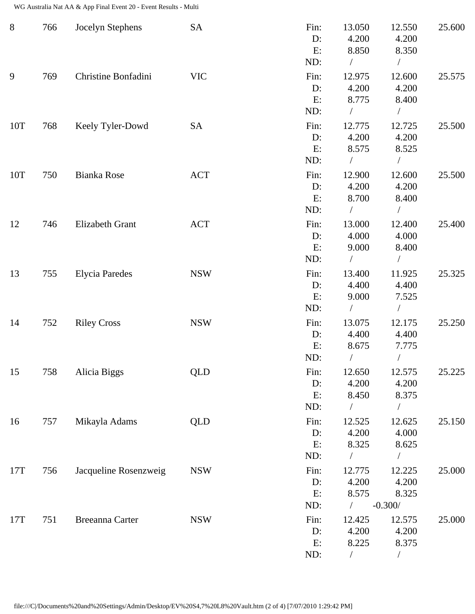WG Australia Nat AA & App Final Event 20 - Event Results - Multi

| $8\,$ | 766 | Jocelyn Stephens       | <b>SA</b>  | Fin:<br>D:<br>E:<br>ND:    | 13.050<br>4.200<br>8.850<br>$\sqrt{2}$    | 12.550<br>4.200<br>8.350<br>$\sqrt{2}$     | 25.600 |
|-------|-----|------------------------|------------|----------------------------|-------------------------------------------|--------------------------------------------|--------|
| 9     | 769 | Christine Bonfadini    | <b>VIC</b> | Fin:<br>$D$ :<br>E:<br>ND: | 12.975<br>4.200<br>8.775<br>$\frac{1}{2}$ | 12.600<br>4.200<br>8.400<br>$\sqrt{2}$     | 25.575 |
| 10T   | 768 | Keely Tyler-Dowd       | <b>SA</b>  | Fin:<br>D:<br>E:<br>ND:    | 12.775<br>4.200<br>8.575<br>$\sqrt{2}$    | 12.725<br>4.200<br>8.525<br>$\sqrt{2}$     | 25.500 |
| 10T   | 750 | <b>Bianka Rose</b>     | <b>ACT</b> | Fin:<br>D:<br>E:<br>ND:    | 12.900<br>4.200<br>8.700<br>$\sqrt{2}$    | 12.600<br>4.200<br>8.400<br>$\sqrt{2}$     | 25.500 |
| 12    | 746 | Elizabeth Grant        | <b>ACT</b> | Fin:<br>D:<br>E:<br>ND:    | 13.000<br>4.000<br>9.000<br>$\frac{1}{2}$ | 12.400<br>4.000<br>8.400<br>$\sqrt{2}$     | 25.400 |
| 13    | 755 | <b>Elycia Paredes</b>  | <b>NSW</b> | Fin:<br>D:<br>E:<br>ND:    | 13.400<br>4.400<br>9.000                  | 11.925<br>4.400<br>7.525<br>$\sqrt{2}$     | 25.325 |
| 14    | 752 | <b>Riley Cross</b>     | <b>NSW</b> | Fin:<br>D:<br>E:<br>ND:    | 13.075<br>4.400<br>8.675                  | 12.175<br>4.400<br>7.775<br>$\overline{1}$ | 25.250 |
| 15    | 758 | Alicia Biggs           | <b>QLD</b> | Fin:<br>D:<br>E:<br>ND:    | 12.650<br>4.200<br>8.450                  | 12.575<br>4.200<br>8.375<br>$\overline{1}$ | 25.225 |
| 16    | 757 | Mikayla Adams          | <b>QLD</b> | Fin:<br>$D$ :<br>E:<br>ND: | 12.525<br>4.200<br>8.325                  | 12.625<br>4.000<br>8.625                   | 25.150 |
| 17T   | 756 | Jacqueline Rosenzweig  | <b>NSW</b> | Fin:<br>D:<br>E:<br>ND:    | 12.775<br>4.200<br>8.575<br>$\sqrt{2}$    | 12.225<br>4.200<br>8.325<br>$-0.300/$      | 25.000 |
| 17T   | 751 | <b>Breeanna Carter</b> | <b>NSW</b> | Fin:<br>D:<br>E:<br>ND:    | 12.425<br>4.200<br>8.225                  | 12.575<br>4.200<br>8.375<br>$\sqrt{2}$     | 25.000 |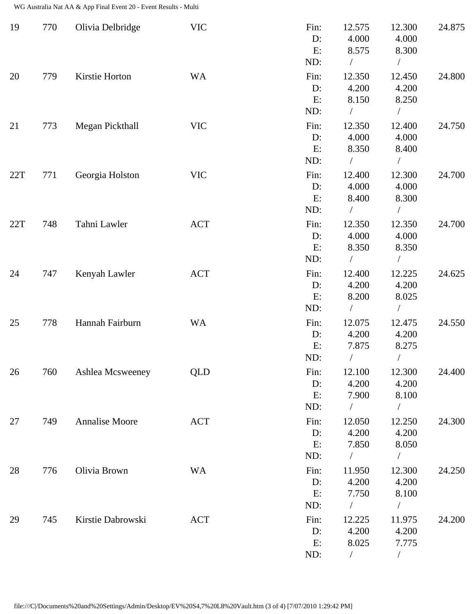WG Australia Nat AA & App Final Event 20 - Event Results - Multi

| 19  | 770 | Olivia Delbridge  | <b>VIC</b> | Fin:<br>D:<br>E:<br>ND:    | 12.575<br>4.000<br>8.575               | 12.300<br>4.000<br>8.300                             | 24.875 |
|-----|-----|-------------------|------------|----------------------------|----------------------------------------|------------------------------------------------------|--------|
| 20  | 779 | Kirstie Horton    | <b>WA</b>  | Fin:<br>D:<br>E:<br>ND:    | 12.350<br>4.200<br>8.150<br>$\bigg)$   | 12.450<br>4.200<br>8.250<br>Т                        | 24.800 |
| 21  | 773 | Megan Pickthall   | <b>VIC</b> | Fin:<br>D:<br>E:<br>ND:    | 12.350<br>4.000<br>8.350               | 12.400<br>4.000<br>8.400                             | 24.750 |
| 22T | 771 | Georgia Holston   | <b>VIC</b> | Fin:<br>D:<br>E:<br>ND:    | 12.400<br>4.000<br>8.400               | 12.300<br>4.000<br>8.300                             | 24.700 |
| 22T | 748 | Tahni Lawler      | <b>ACT</b> | Fin:<br>D:<br>E:<br>ND:    | 12.350<br>4.000<br>8.350<br>$\sqrt{2}$ | 12.350<br>4.000<br>8.350<br>$\overline{\phantom{a}}$ | 24.700 |
| 24  | 747 | Kenyah Lawler     | <b>ACT</b> | Fin:<br>D:<br>E:<br>ND:    | 12.400<br>4.200<br>8.200               | 12.225<br>4.200<br>8.025                             | 24.625 |
| 25  | 778 | Hannah Fairburn   | <b>WA</b>  | Fin:<br>D:<br>E:<br>ND:    | 12.075<br>4.200<br>7.875               | 12.475<br>4.200<br>8.275                             | 24.550 |
| 26  | 760 | Ashlea Mcsweeney  | QLD        | Fin:<br>D:<br>E:<br>ND:    | 12.100<br>4.200<br>7.900<br>$\sqrt{2}$ | 12.300<br>4.200<br>8.100<br>Т                        | 24.400 |
| 27  | 749 | Annalise Moore    | <b>ACT</b> | Fin:<br>$D$ :<br>E:<br>ND: | 12.050<br>4.200<br>7.850               | 12.250<br>4.200<br>8.050                             | 24.300 |
| 28  | 776 | Olivia Brown      | <b>WA</b>  | Fin:<br>D:<br>E:<br>ND:    | 11.950<br>4.200<br>7.750<br>$\sqrt{2}$ | 12.300<br>4.200<br>8.100<br>$\sqrt{2}$               | 24.250 |
| 29  | 745 | Kirstie Dabrowski | <b>ACT</b> | Fin:<br>$D$ :<br>E:<br>ND: | 12.225<br>4.200<br>8.025               | 11.975<br>4.200<br>7.775<br>$\overline{\phantom{a}}$ | 24.200 |